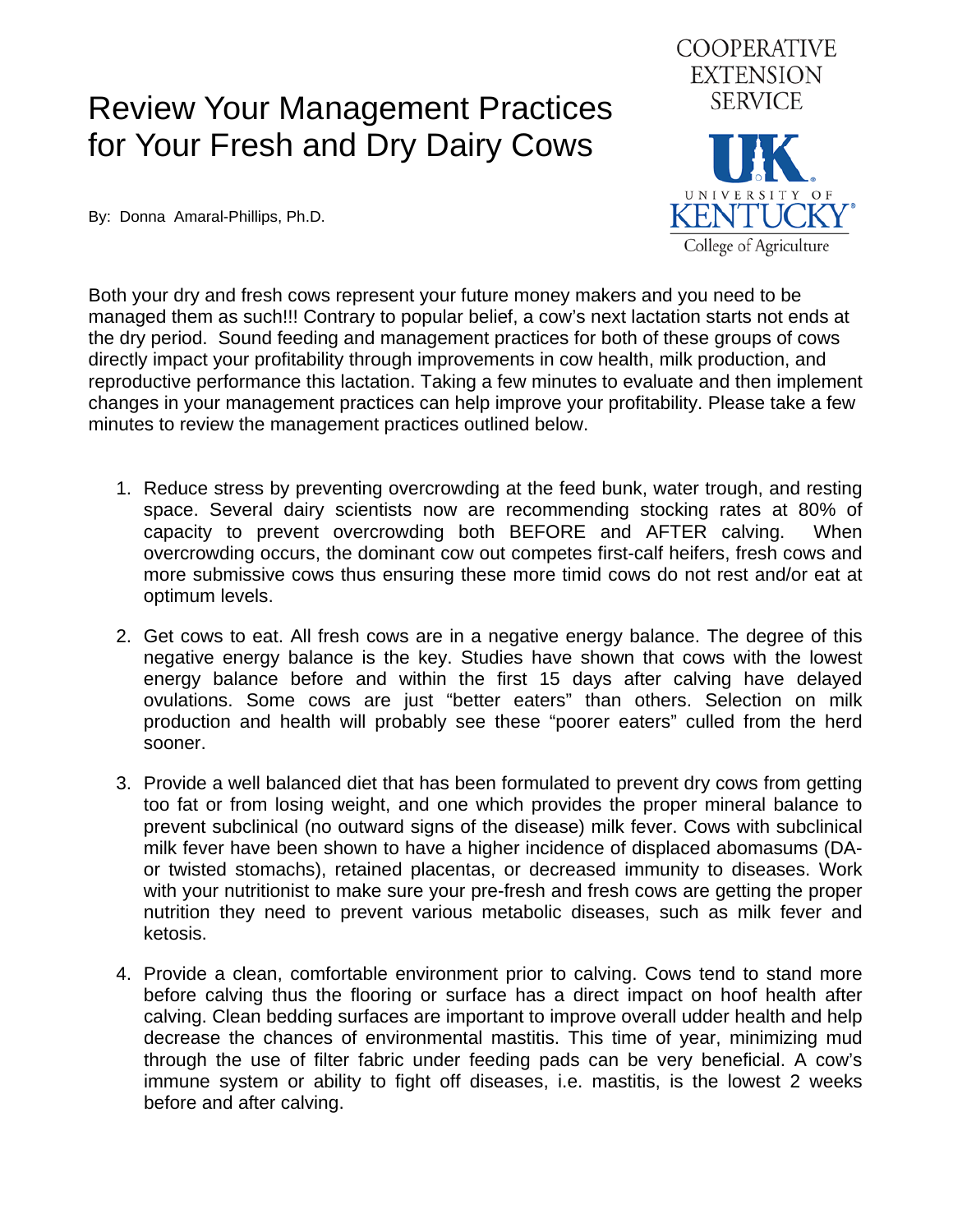## Review Your Management Practices for Your Fresh and Dry Dairy Cows



By: Donna Amaral-Phillips, Ph.D.

Both your dry and fresh cows represent your future money makers and you need to be managed them as such!!! Contrary to popular belief, a cow's next lactation starts not ends at the dry period. Sound feeding and management practices for both of these groups of cows directly impact your profitability through improvements in cow health, milk production, and reproductive performance this lactation. Taking a few minutes to evaluate and then implement changes in your management practices can help improve your profitability. Please take a few minutes to review the management practices outlined below.

- 1. Reduce stress by preventing overcrowding at the feed bunk, water trough, and resting space. Several dairy scientists now are recommending stocking rates at 80% of capacity to prevent overcrowding both BEFORE and AFTER calving. When overcrowding occurs, the dominant cow out competes first-calf heifers, fresh cows and more submissive cows thus ensuring these more timid cows do not rest and/or eat at optimum levels.
- 2. Get cows to eat. All fresh cows are in a negative energy balance. The degree of this negative energy balance is the key. Studies have shown that cows with the lowest energy balance before and within the first 15 days after calving have delayed ovulations. Some cows are just "better eaters" than others. Selection on milk production and health will probably see these "poorer eaters" culled from the herd sooner.
- 3. Provide a well balanced diet that has been formulated to prevent dry cows from getting too fat or from losing weight, and one which provides the proper mineral balance to prevent subclinical (no outward signs of the disease) milk fever. Cows with subclinical milk fever have been shown to have a higher incidence of displaced abomasums (DAor twisted stomachs), retained placentas, or decreased immunity to diseases. Work with your nutritionist to make sure your pre-fresh and fresh cows are getting the proper nutrition they need to prevent various metabolic diseases, such as milk fever and ketosis.
- 4. Provide a clean, comfortable environment prior to calving. Cows tend to stand more before calving thus the flooring or surface has a direct impact on hoof health after calving. Clean bedding surfaces are important to improve overall udder health and help decrease the chances of environmental mastitis. This time of year, minimizing mud through the use of filter fabric under feeding pads can be very beneficial. A cow's immune system or ability to fight off diseases, i.e. mastitis, is the lowest 2 weeks before and after calving.